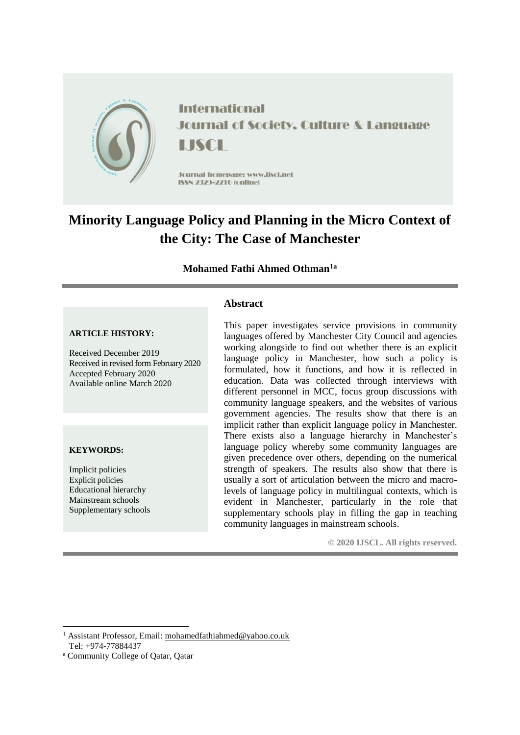

# **Minority Language Policy and Planning in the Micro Context of the City: The Case of Manchester**

## **Mohamed Fathi Ahmed Othman1a**

## **Abstract**

#### **ARTICLE HISTORY:**

Received December 2019 Received in revised form February 2020 Accepted February 2020 Available online March 2020

#### **KEYWORDS:**

Implicit policies Explicit policies Educational hierarchy Mainstream schools Supplementary schools This paper investigates service provisions in community languages offered by Manchester City Council and agencies working alongside to find out whether there is an explicit language policy in Manchester, how such a policy is formulated, how it functions, and how it is reflected in education. Data was collected through interviews with different personnel in MCC, focus group discussions with community language speakers, and the websites of various government agencies. The results show that there is an implicit rather than explicit language policy in Manchester. There exists also a language hierarchy in Manchester's language policy whereby some community languages are given precedence over others, depending on the numerical strength of speakers. The results also show that there is usually a sort of articulation between the micro and macrolevels of language policy in multilingual contexts, which is evident in Manchester, particularly in the role that supplementary schools play in filling the gap in teaching community languages in mainstream schools.

**© 2020 IJSCL. All rights reserved.**

-

<sup>1</sup> Assistant Professor, Email: [mohamedfathiahmed@yahoo.co.uk](mailto:mohamedfathiahmed@yahoo.co.uk)

Tel: +974-77884437

<sup>a</sup> Community College of Qatar, Qatar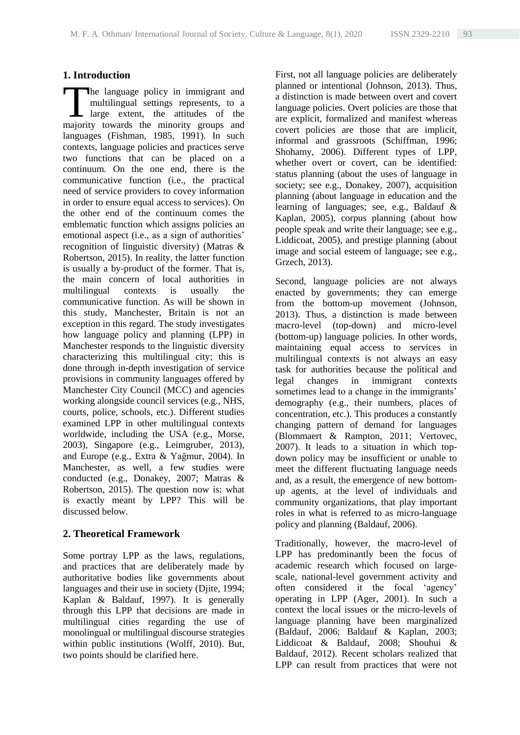## **1. Introduction**

he language policy in immigrant and multilingual settings represents, to a large extent, the attitudes of the The language policy in immigrant and multilingual settings represents, to a large extent, the attitudes of the majority towards the minority groups and languages (Fishman, 1985, 1991). In such contexts, language policies and practices serve two functions that can be placed on a continuum. On the one end, there is the communicative function (i.e., the practical need of service providers to covey information in order to ensure equal access to services). On the other end of the continuum comes the emblematic function which assigns policies an emotional aspect (i.e., as a sign of authorities' recognition of linguistic diversity) (Matras & Robertson, 2015). In reality, the latter function is usually a by-product of the former. That is, the main concern of local authorities in multilingual contexts is usually the communicative function. As will be shown in this study, Manchester, Britain is not an exception in this regard. The study investigates how language policy and planning (LPP) in Manchester responds to the linguistic diversity characterizing this multilingual city; this is done through in-depth investigation of service provisions in community languages offered by Manchester City Council (MCC) and agencies working alongside council services (e.g., NHS, courts, police, schools, etc.). Different studies examined LPP in other multilingual contexts worldwide, including the USA (e.g., Morse, 2003), Singapore (e.g., Leimgruber, 2013), and Europe (e.g., Extra & Yağmur, 2004). In Manchester, as well, a few studies were conducted (e.g., Donakey, 2007; Matras & Robertson, 2015). The question now is: what is exactly meant by LPP? This will be discussed below.

## **2. Theoretical Framework**

Some portray LPP as the laws, regulations, and practices that are deliberately made by authoritative bodies like governments about languages and their use in society (Djite, 1994; Kaplan & Baldauf, 1997). It is generally through this LPP that decisions are made in multilingual cities regarding the use of monolingual or multilingual discourse strategies within public institutions (Wolff, 2010). But, two points should be clarified here.

First, not all language policies are deliberately planned or intentional (Johnson, 2013). Thus, a distinction is made between overt and covert language policies. Overt policies are those that are explicit, formalized and manifest whereas covert policies are those that are implicit, informal and grassroots (Schiffman, 1996; Shohamy, 2006). Different types of LPP, whether overt or covert, can be identified: status planning (about the uses of language in society; see e.g., Donakey, 2007), acquisition planning (about language in education and the learning of languages; see, e.g., Baldauf & Kaplan, 2005), corpus planning (about how people speak and write their language; see e.g., Liddicoat, 2005), and prestige planning (about image and social esteem of language; see e.g., Grzech, 2013).

Second, language policies are not always enacted by governments; they can emerge from the bottom-up movement (Johnson, 2013). Thus, a distinction is made between macro-level (top-down) and micro-level (bottom-up) language policies. In other words, maintaining equal access to services in multilingual contexts is not always an easy task for authorities because the political and legal changes in immigrant contexts sometimes lead to a change in the immigrants' demography (e.g., their numbers, places of concentration, etc.). This produces a constantly changing pattern of demand for languages (Blommaert & Rampton, 2011; Vertovec, 2007). It leads to a situation in which topdown policy may be insufficient or unable to meet the different fluctuating language needs and, as a result, the emergence of new bottomup agents, at the level of individuals and community organizations, that play important roles in what is referred to as micro-language policy and planning (Baldauf, 2006).

Traditionally, however, the macro-level of LPP has predominantly been the focus of academic research which focused on largescale, national-level government activity and often considered it the focal 'agency' operating in LPP (Ager, 2001). In such a context the local issues or the micro-levels of language planning have been marginalized (Baldauf, 2006; Baldauf & Kaplan, 2003; Liddicoat & Baldauf, 2008; Shouhui & Baldauf, 2012). Recent scholars realized that LPP can result from practices that were not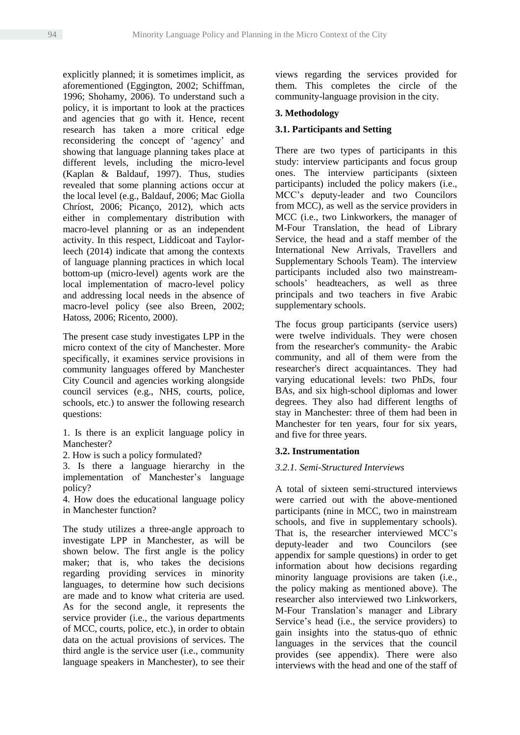explicitly planned; it is sometimes implicit, as aforementioned (Eggington, 2002; Schiffman, 1996; Shohamy, 2006). To understand such a policy, it is important to look at the practices and agencies that go with it. Hence, recent research has taken a more critical edge reconsidering the concept of 'agency' and showing that language planning takes place at different levels, including the micro-level (Kaplan & Baldauf, 1997). Thus, studies revealed that some planning actions occur at the local level (e.g., Baldauf, 2006; Mac Giolla Chríost, 2006; Picanço, 2012), which acts either in complementary distribution with macro-level planning or as an independent activity. In this respect, Liddicoat and Taylorleech (2014) indicate that among the contexts of language planning practices in which local bottom-up (micro-level) agents work are the local implementation of macro-level policy and addressing local needs in the absence of macro-level policy (see also Breen, 2002; Hatoss, 2006; Ricento, 2000).

The present case study investigates LPP in the micro context of the city of Manchester. More specifically, it examines service provisions in community languages offered by Manchester City Council and agencies working alongside council services (e.g., NHS, courts, police, schools, etc.) to answer the following research questions:

1. Is there is an explicit language policy in Manchester?

2. How is such a policy formulated?

3. Is there a language hierarchy in the implementation of Manchester's language policy?

4. How does the educational language policy in Manchester function?

The study utilizes a three-angle approach to investigate LPP in Manchester, as will be shown below. The first angle is the policy maker; that is, who takes the decisions regarding providing services in minority languages, to determine how such decisions are made and to know what criteria are used. As for the second angle, it represents the service provider (i.e., the various departments of MCC, courts, police, etc.), in order to obtain data on the actual provisions of services. The third angle is the service user (i.e., community language speakers in Manchester), to see their views regarding the services provided for them. This completes the circle of the community-language provision in the city.

#### **3. Methodology**

#### **3.1. Participants and Setting**

There are two types of participants in this study: interview participants and focus group ones. The interview participants (sixteen participants) included the policy makers (i.e., MCC's deputy-leader and two Councilors from MCC), as well as the service providers in MCC (i.e., two Linkworkers, the manager of M-Four Translation, the head of Library Service, the head and a staff member of the International New Arrivals, Travellers and Supplementary Schools Team). The interview participants included also two mainstreamschools' headteachers, as well as three principals and two teachers in five Arabic supplementary schools.

The focus group participants (service users) were twelve individuals. They were chosen from the researcher's community- the Arabic community, and all of them were from the researcher's direct acquaintances. They had varying educational levels: two PhDs, four BAs, and six high-school diplomas and lower degrees. They also had different lengths of stay in Manchester: three of them had been in Manchester for ten years, four for six years, and five for three years.

## **3.2. Instrumentation**

#### *3.2.1. Semi-Structured Interviews*

A total of sixteen semi-structured interviews were carried out with the above-mentioned participants (nine in MCC, two in mainstream schools, and five in supplementary schools). That is, the researcher interviewed MCC's deputy-leader and two Councilors (see appendix for sample questions) in order to get information about how decisions regarding minority language provisions are taken (i.e., the policy making as mentioned above). The researcher also interviewed two Linkworkers, M-Four Translation's manager and Library Service's head (i.e., the service providers) to gain insights into the status-quo of ethnic languages in the services that the council provides (see appendix). There were also interviews with the head and one of the staff of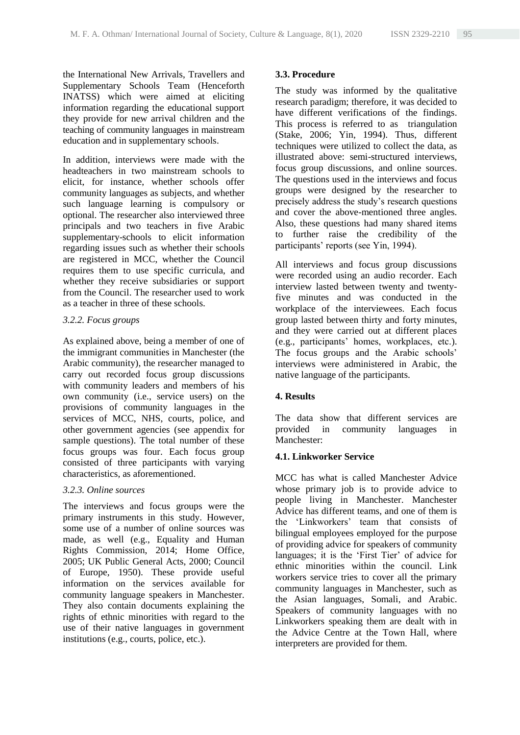the International New Arrivals, Travellers and Supplementary Schools Team (Henceforth INATSS) which were aimed at eliciting information regarding the educational support they provide for new arrival children and the teaching of community languages in mainstream education and in supplementary schools.

In addition, interviews were made with the headteachers in two mainstream schools to elicit, for instance, whether schools offer community languages as subjects, and whether such language learning is compulsory or optional. The researcher also interviewed three principals and two teachers in five Arabic supplementary-schools to elicit information regarding issues such as whether their schools are registered in MCC, whether the Council requires them to use specific curricula, and whether they receive subsidiaries or support from the Council. The researcher used to work as a teacher in three of these schools.

#### *3.2.2. Focus groups*

As explained above, being a member of one of the immigrant communities in Manchester (the Arabic community), the researcher managed to carry out recorded focus group discussions with community leaders and members of his own community (i.e., service users) on the provisions of community languages in the services of MCC, NHS, courts, police, and other government agencies (see appendix for sample questions). The total number of these focus groups was four. Each focus group consisted of three participants with varying characteristics, as aforementioned.

## *3.2.3. Online sources*

The interviews and focus groups were the primary instruments in this study. However, some use of a number of online sources was made, as well (e.g., Equality and Human Rights Commission, 2014; Home Office, 2005; UK Public General Acts, 2000; Council of Europe, 1950). These provide useful information on the services available for community language speakers in Manchester. They also contain documents explaining the rights of ethnic minorities with regard to the use of their native languages in government institutions (e.g., courts, police, etc.).

#### **3.3. Procedure**

The study was informed by the qualitative research paradigm; therefore, it was decided to have different verifications of the findings. This process is referred to as triangulation (Stake, 2006; Yin, 1994). Thus, different techniques were utilized to collect the data, as illustrated above: semi-structured interviews, focus group discussions, and online sources. The questions used in the interviews and focus groups were designed by the researcher to precisely address the study's research questions and cover the above-mentioned three angles. Also, these questions had many shared items to further raise the credibility of the participants' reports (see Yin, 1994).

All interviews and focus group discussions were recorded using an audio recorder. Each interview lasted between twenty and twentyfive minutes and was conducted in the workplace of the interviewees. Each focus group lasted between thirty and forty minutes, and they were carried out at different places (e.g., participants' homes, workplaces, etc.). The focus groups and the Arabic schools' interviews were administered in Arabic, the native language of the participants.

## **4. Results**

The data show that different services are provided in community languages in Manchester:

## **4.1. Linkworker Service**

MCC has what is called Manchester Advice whose primary job is to provide advice to people living in Manchester. Manchester Advice has different teams, and one of them is the 'Linkworkers' team that consists of bilingual employees employed for the purpose of providing advice for speakers of community languages; it is the 'First Tier' of advice for ethnic minorities within the council. Link workers service tries to cover all the primary community languages in Manchester, such as the Asian languages, Somali, and Arabic. Speakers of community languages with no Linkworkers speaking them are dealt with in the Advice Centre at the Town Hall, where interpreters are provided for them.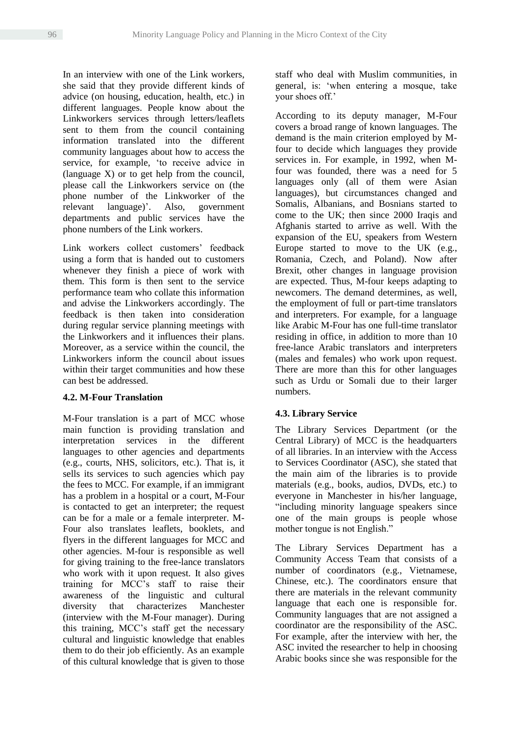In an interview with one of the Link workers, she said that they provide different kinds of advice (on housing, education, health, etc.) in different languages. People know about the Linkworkers services through letters/leaflets sent to them from the council containing information translated into the different community languages about how to access the service, for example, 'to receive advice in (language X) or to get help from the council, please call the Linkworkers service on (the phone number of the Linkworker of the relevant language)'. Also, government departments and public services have the phone numbers of the Link workers.

Link workers collect customers' feedback using a form that is handed out to customers whenever they finish a piece of work with them. This form is then sent to the service performance team who collate this information and advise the Linkworkers accordingly. The feedback is then taken into consideration during regular service planning meetings with the Linkworkers and it influences their plans. Moreover, as a service within the council, the Linkworkers inform the council about issues within their target communities and how these can best be addressed.

## **4.2. M-Four Translation**

M-Four translation is a part of MCC whose main function is providing translation and interpretation services in the different languages to other agencies and departments (e.g., courts, NHS, solicitors, etc.). That is, it sells its services to such agencies which pay the fees to MCC. For example, if an immigrant has a problem in a hospital or a court, M-Four is contacted to get an interpreter; the request can be for a male or a female interpreter. M-Four also translates leaflets, booklets, and flyers in the different languages for MCC and other agencies. M-four is responsible as well for giving training to the free-lance translators who work with it upon request. It also gives training for MCC's staff to raise their awareness of the linguistic and cultural diversity that characterizes Manchester (interview with the M-Four manager). During this training, MCC's staff get the necessary cultural and linguistic knowledge that enables them to do their job efficiently. As an example of this cultural knowledge that is given to those

staff who deal with Muslim communities, in general, is: 'when entering a mosque, take your shoes off.'

According to its deputy manager, M-Four covers a broad range of known languages. The demand is the main criterion employed by Mfour to decide which languages they provide services in. For example, in 1992, when Mfour was founded, there was a need for 5 languages only (all of them were Asian languages), but circumstances changed and Somalis, Albanians, and Bosnians started to come to the UK; then since 2000 Iraqis and Afghanis started to arrive as well. With the expansion of the EU, speakers from Western Europe started to move to the UK (e.g., Romania, Czech, and Poland). Now after Brexit, other changes in language provision are expected. Thus, M-four keeps adapting to newcomers. The demand determines, as well, the employment of full or part-time translators and interpreters. For example, for a language like Arabic M-Four has one full-time translator residing in office, in addition to more than 10 free-lance Arabic translators and interpreters (males and females) who work upon request. There are more than this for other languages such as Urdu or Somali due to their larger numbers.

## **4.3. Library Service**

The Library Services Department (or the Central Library) of MCC is the headquarters of all libraries. In an interview with the Access to Services Coordinator (ASC), she stated that the main aim of the libraries is to provide materials (e.g., books, audios, DVDs, etc.) to everyone in Manchester in his/her language, "including minority language speakers since one of the main groups is people whose mother tongue is not English."

The Library Services Department has a Community Access Team that consists of a number of coordinators (e.g., Vietnamese, Chinese, etc.). The coordinators ensure that there are materials in the relevant community language that each one is responsible for. Community languages that are not assigned a coordinator are the responsibility of the ASC. For example, after the interview with her, the ASC invited the researcher to help in choosing Arabic books since she was responsible for the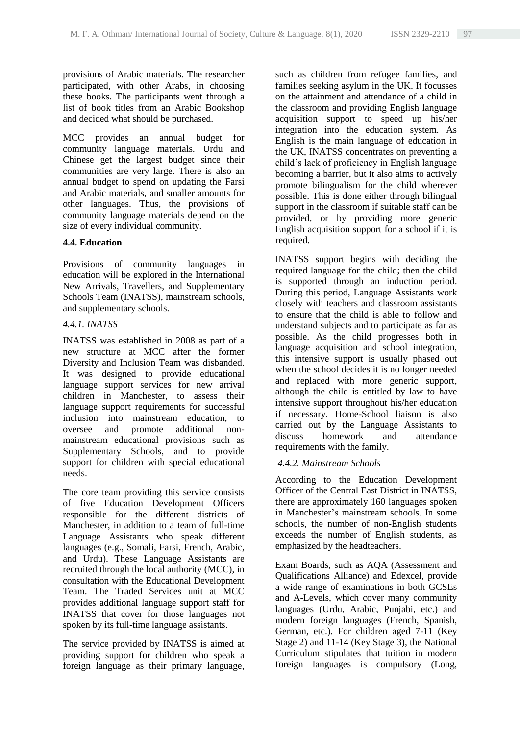provisions of Arabic materials. The researcher participated, with other Arabs, in choosing these books. The participants went through a list of book titles from an Arabic Bookshop and decided what should be purchased.

MCC provides an annual budget for community language materials. Urdu and Chinese get the largest budget since their communities are very large. There is also an annual budget to spend on updating the Farsi and Arabic materials, and smaller amounts for other languages. Thus, the provisions of community language materials depend on the size of every individual community.

#### **4.4. Education**

Provisions of community languages in education will be explored in the International New Arrivals, Travellers, and Supplementary Schools Team (INATSS), mainstream schools, and supplementary schools.

#### *4.4.1. INATSS*

INATSS was established in 2008 as part of a new structure at MCC after the former Diversity and Inclusion Team was disbanded. It was designed to provide educational language support services for new arrival children in Manchester, to assess their language support requirements for successful inclusion into mainstream education, to oversee and promote additional nonmainstream educational provisions such as Supplementary Schools, and to provide support for children with special educational needs.

The core team providing this service consists of five Education Development Officers responsible for the different districts of Manchester, in addition to a team of full-time Language Assistants who speak different languages (e.g., Somali, Farsi, French, Arabic, and Urdu). These Language Assistants are recruited through the local authority (MCC), in consultation with the Educational Development Team. The Traded Services unit at MCC provides additional language support staff for INATSS that cover for those languages not spoken by its full-time language assistants.

The service provided by INATSS is aimed at providing support for children who speak a foreign language as their primary language, such as children from refugee families, and families seeking asylum in the UK. It focusses on the attainment and attendance of a child in the classroom and providing English language acquisition support to speed up his/her integration into the education system. As English is the main language of education in the UK, INATSS concentrates on preventing a child's lack of proficiency in English language becoming a barrier, but it also aims to actively promote bilingualism for the child wherever possible. This is done either through bilingual support in the classroom if suitable staff can be provided, or by providing more generic English acquisition support for a school if it is required.

INATSS support begins with deciding the required language for the child; then the child is supported through an induction period. During this period, Language Assistants work closely with teachers and classroom assistants to ensure that the child is able to follow and understand subjects and to participate as far as possible. As the child progresses both in language acquisition and school integration, this intensive support is usually phased out when the school decides it is no longer needed and replaced with more generic support, although the child is entitled by law to have intensive support throughout his/her education if necessary. Home-School liaison is also carried out by the Language Assistants to discuss homework and attendance requirements with the family.

## *4.4.2. Mainstream Schools*

According to the Education Development Officer of the Central East District in INATSS, there are approximately 160 languages spoken in Manchester's mainstream schools. In some schools, the number of non-English students exceeds the number of English students, as emphasized by the headteachers.

Exam Boards, such as AQA (Assessment and Qualifications Alliance) and Edexcel, provide a wide range of examinations in both GCSEs and A-Levels, which cover many community languages (Urdu, Arabic, Punjabi, etc.) and modern foreign languages (French, Spanish, German, etc.). For children aged 7-11 (Key Stage 2) and 11-14 (Key Stage 3), the National Curriculum stipulates that tuition in modern foreign languages is compulsory (Long,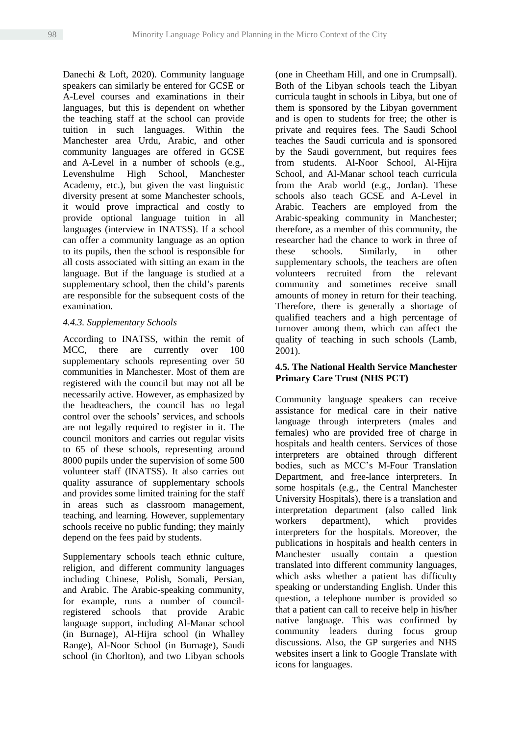Danechi & Loft, 2020). Community language speakers can similarly be entered for GCSE or A-Level courses and examinations in their languages, but this is dependent on whether the teaching staff at the school can provide tuition in such languages. Within the Manchester area Urdu, Arabic, and other community languages are offered in GCSE and A-Level in a number of schools (e.g., Levenshulme High School, Manchester Academy, etc.), but given the vast linguistic diversity present at some Manchester schools, it would prove impractical and costly to provide optional language tuition in all languages (interview in INATSS). If a school can offer a community language as an option to its pupils, then the school is responsible for all costs associated with sitting an exam in the language. But if the language is studied at a supplementary school, then the child's parents are responsible for the subsequent costs of the examination.

#### *4.4.3. Supplementary Schools*

According to INATSS, within the remit of MCC, there are currently over 100 supplementary schools representing over 50 communities in Manchester. Most of them are registered with the council but may not all be necessarily active. However, as emphasized by the headteachers, the council has no legal control over the schools' services, and schools are not legally required to register in it. The council monitors and carries out regular visits to 65 of these schools, representing around 8000 pupils under the supervision of some 500 volunteer staff (INATSS). It also carries out quality assurance of supplementary schools and provides some limited training for the staff in areas such as classroom management, teaching, and learning. However, supplementary schools receive no public funding; they mainly depend on the fees paid by students.

Supplementary schools teach ethnic culture, religion, and different community languages including Chinese, Polish, Somali, Persian, and Arabic. The Arabic-speaking community, for example, runs a number of councilregistered schools that provide Arabic language support, including Al-Manar school (in Burnage), Al-Hijra school (in Whalley Range), Al-Noor School (in Burnage), Saudi school (in Chorlton), and two Libyan schools (one in Cheetham Hill, and one in Crumpsall). Both of the Libyan schools teach the Libyan curricula taught in schools in Libya, but one of them is sponsored by the Libyan government and is open to students for free; the other is private and requires fees. The Saudi School teaches the Saudi curricula and is sponsored by the Saudi government, but requires fees from students. Al-Noor School, Al-Hijra School, and Al-Manar school teach curricula from the Arab world (e.g., Jordan). These schools also teach GCSE and A-Level in Arabic. Teachers are employed from the Arabic-speaking community in Manchester; therefore, as a member of this community, the researcher had the chance to work in three of these schools. Similarly, in other supplementary schools, the teachers are often volunteers recruited from the relevant community and sometimes receive small amounts of money in return for their teaching. Therefore, there is generally a shortage of qualified teachers and a high percentage of turnover among them, which can affect the quality of teaching in such schools (Lamb, 2001).

## **4.5. The National Health Service Manchester Primary Care Trust (NHS PCT)**

Community language speakers can receive assistance for medical care in their native language through interpreters (males and females) who are provided free of charge in hospitals and health centers. Services of those interpreters are obtained through different bodies, such as MCC's M-Four Translation Department, and free-lance interpreters. In some hospitals (e.g., the Central Manchester University Hospitals), there is a translation and interpretation department (also called link workers department), which provides interpreters for the hospitals. Moreover, the publications in hospitals and health centers in Manchester usually contain a question translated into different community languages, which asks whether a patient has difficulty speaking or understanding English. Under this question, a telephone number is provided so that a patient can call to receive help in his/her native language. This was confirmed by community leaders during focus group discussions. Also, the GP surgeries and NHS websites insert a link to Google Translate with icons for languages.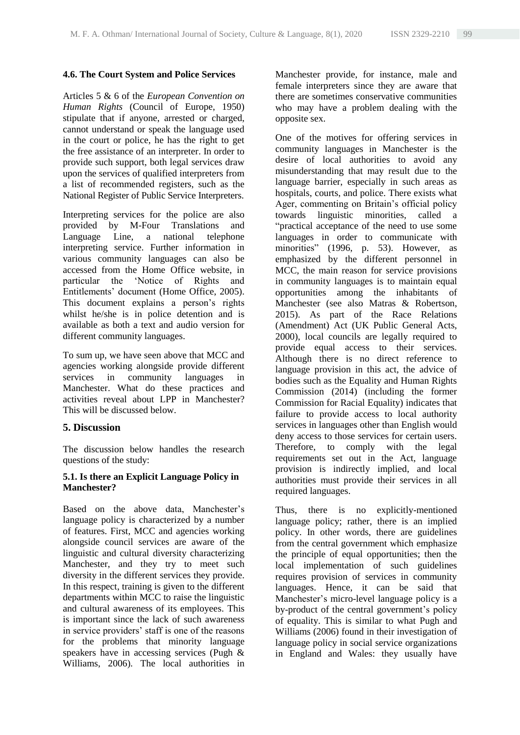#### **4.6. The Court System and Police Services**

Articles 5 & 6 of the *European Convention on Human Rights* (Council of Europe, 1950) stipulate that if anyone, arrested or charged, cannot understand or speak the language used in the court or police, he has the right to get the free assistance of an interpreter. In order to provide such support, both legal services draw upon the services of qualified interpreters from a list of recommended registers, such as the National Register of Public Service Interpreters.

Interpreting services for the police are also provided by M-Four Translations and Language Line, a national telephone interpreting service. Further information in various community languages can also be accessed from the Home Office website, in particular the 'Notice of Rights and Entitlements' document (Home Office, 2005). This document explains a person's rights whilst he/she is in police detention and is available as both a text and audio version for different community languages.

To sum up, we have seen above that MCC and agencies working alongside provide different services in community languages in Manchester. What do these practices and activities reveal about LPP in Manchester? This will be discussed below.

## **5. Discussion**

The discussion below handles the research questions of the study:

## **5.1. Is there an Explicit Language Policy in Manchester?**

Based on the above data, Manchester's language policy is characterized by a number of features. First, MCC and agencies working alongside council services are aware of the linguistic and cultural diversity characterizing Manchester, and they try to meet such diversity in the different services they provide. In this respect, training is given to the different departments within MCC to raise the linguistic and cultural awareness of its employees. This is important since the lack of such awareness in service providers' staff is one of the reasons for the problems that minority language speakers have in accessing services (Pugh & Williams, 2006). The local authorities in Manchester provide, for instance, male and female interpreters since they are aware that there are sometimes conservative communities who may have a problem dealing with the opposite sex.

One of the motives for offering services in community languages in Manchester is the desire of local authorities to avoid any misunderstanding that may result due to the language barrier, especially in such areas as hospitals, courts, and police. There exists what Ager, commenting on Britain's official policy towards linguistic minorities, called a "practical acceptance of the need to use some languages in order to communicate with minorities" (1996, p. 53). However, as emphasized by the different personnel in MCC, the main reason for service provisions in community languages is to maintain equal opportunities among the inhabitants of Manchester (see also Matras & Robertson, 2015). As part of the Race Relations (Amendment) Act (UK Public General Acts, 2000), local councils are legally required to provide equal access to their services. Although there is no direct reference to language provision in this act, the advice of bodies such as the Equality and Human Rights Commission (2014) (including the former Commission for Racial Equality) indicates that failure to provide access to local authority services in languages other than English would deny access to those services for certain users. Therefore, to comply with the legal requirements set out in the Act, language provision is indirectly implied, and local authorities must provide their services in all required languages.

Thus, there is no explicitly-mentioned language policy; rather, there is an implied policy. In other words, there are guidelines from the central government which emphasize the principle of equal opportunities; then the local implementation of such guidelines requires provision of services in community languages. Hence, it can be said that Manchester's micro-level language policy is a by-product of the central government's policy of equality. This is similar to what Pugh and Williams (2006) found in their investigation of language policy in social service organizations in England and Wales: they usually have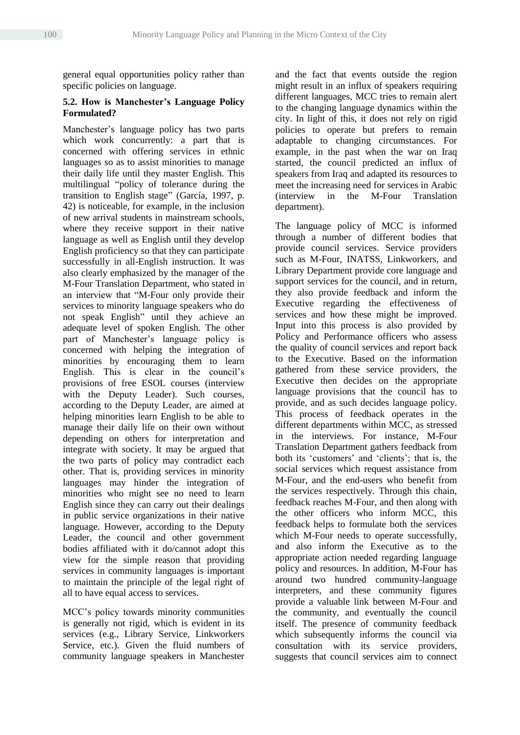general equal opportunities policy rather than specific policies on language.

## **5.2. How is Manchester's Language Policy Formulated?**

Manchester's language policy has two parts which work concurrently: a part that is concerned with offering services in ethnic languages so as to assist minorities to manage their daily life until they master English. This multilingual "policy of tolerance during the transition to English stage" (García, 1997, p. 42) is noticeable, for example, in the inclusion of new arrival students in mainstream schools, where they receive support in their native language as well as English until they develop English proficiency so that they can participate successfully in all-English instruction. It was also clearly emphasized by the manager of the M-Four Translation Department, who stated in an interview that "M-Four only provide their services to minority language speakers who do not speak English" until they achieve an adequate level of spoken English. The other part of Manchester's language policy is concerned with helping the integration of minorities by encouraging them to learn English. This is clear in the council's provisions of free ESOL courses (interview with the Deputy Leader). Such courses, according to the Deputy Leader, are aimed at helping minorities learn English to be able to manage their daily life on their own without depending on others for interpretation and integrate with society. It may be argued that the two parts of policy may contradict each other. That is, providing services in minority languages may hinder the integration of minorities who might see no need to learn English since they can carry out their dealings in public service organizations in their native language. However, according to the Deputy Leader, the council and other government bodies affiliated with it do/cannot adopt this view for the simple reason that providing services in community languages is important to maintain the principle of the legal right of all to have equal access to services.

MCC's policy towards minority communities is generally not rigid, which is evident in its services (e.g., Library Service, Linkworkers Service, etc.). Given the fluid numbers of community language speakers in Manchester and the fact that events outside the region might result in an influx of speakers requiring different languages, MCC tries to remain alert to the changing language dynamics within the city. In light of this, it does not rely on rigid policies to operate but prefers to remain adaptable to changing circumstances. For example, in the past when the war on Iraq started, the council predicted an influx of speakers from Iraq and adapted its resources to meet the increasing need for services in Arabic (interview in the M-Four Translation department).

The language policy of MCC is informed through a number of different bodies that provide council services. Service providers such as M-Four, INATSS, Linkworkers, and Library Department provide core language and support services for the council, and in return, they also provide feedback and inform the Executive regarding the effectiveness of services and how these might be improved. Input into this process is also provided by Policy and Performance officers who assess the quality of council services and report back to the Executive. Based on the information gathered from these service providers, the Executive then decides on the appropriate language provisions that the council has to provide, and as such decides language policy. This process of feedback operates in the different departments within MCC, as stressed in the interviews. For instance, M-Four Translation Department gathers feedback from both its 'customers' and 'clients'; that is, the social services which request assistance from M-Four, and the end-users who benefit from the services respectively. Through this chain, feedback reaches M-Four, and then along with the other officers who inform MCC, this feedback helps to formulate both the services which M-Four needs to operate successfully, and also inform the Executive as to the appropriate action needed regarding language policy and resources. In addition, M-Four has around two hundred community-language interpreters, and these community figures provide a valuable link between M-Four and the community, and eventually the council itself. The presence of community feedback which subsequently informs the council via consultation with its service providers, suggests that council services aim to connect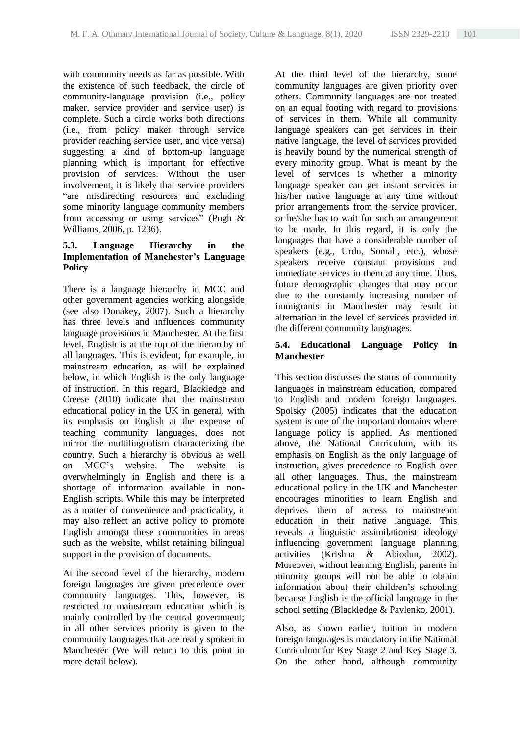with community needs as far as possible. With the existence of such feedback, the circle of community-language provision (i.e., policy maker, service provider and service user) is complete. Such a circle works both directions (i.e., from policy maker through service provider reaching service user, and vice versa) suggesting a kind of bottom-up language planning which is important for effective provision of services. Without the user involvement, it is likely that service providers "are misdirecting resources and excluding some minority language community members from accessing or using services" (Pugh & Williams, 2006, p. 1236).

## **5.3. Language Hierarchy in the Implementation of Manchester's Language Policy**

There is a language hierarchy in MCC and other government agencies working alongside (see also Donakey, 2007). Such a hierarchy has three levels and influences community language provisions in Manchester. At the first level, English is at the top of the hierarchy of all languages. This is evident, for example, in mainstream education, as will be explained below, in which English is the only language of instruction. In this regard, Blackledge and Creese (2010) indicate that the mainstream educational policy in the UK in general, with its emphasis on English at the expense of teaching community languages, does not mirror the multilingualism characterizing the country. Such a hierarchy is obvious as well on MCC's website. The website is overwhelmingly in English and there is a shortage of information available in non-English scripts. While this may be interpreted as a matter of convenience and practicality, it may also reflect an active policy to promote English amongst these communities in areas such as the website, whilst retaining bilingual support in the provision of documents.

At the second level of the hierarchy, modern foreign languages are given precedence over community languages. This, however, is restricted to mainstream education which is mainly controlled by the central government; in all other services priority is given to the community languages that are really spoken in Manchester (We will return to this point in more detail below).

At the third level of the hierarchy, some community languages are given priority over others. Community languages are not treated on an equal footing with regard to provisions of services in them. While all community language speakers can get services in their native language, the level of services provided is heavily bound by the numerical strength of every minority group. What is meant by the level of services is whether a minority language speaker can get instant services in his/her native language at any time without prior arrangements from the service provider, or he/she has to wait for such an arrangement to be made. In this regard, it is only the languages that have a considerable number of speakers (e.g., Urdu, Somali, etc.), whose speakers receive constant provisions and immediate services in them at any time. Thus, future demographic changes that may occur due to the constantly increasing number of immigrants in Manchester may result in alternation in the level of services provided in the different community languages.

## **5.4. Educational Language Policy in Manchester**

This section discusses the status of community languages in mainstream education, compared to English and modern foreign languages. Spolsky (2005) indicates that the education system is one of the important domains where language policy is applied. As mentioned above, the National Curriculum, with its emphasis on English as the only language of instruction, gives precedence to English over all other languages. Thus, the mainstream educational policy in the UK and Manchester encourages minorities to learn English and deprives them of access to mainstream education in their native language. This reveals a linguistic assimilationist ideology influencing government language planning activities (Krishna & Abiodun, 2002). Moreover, without learning English, parents in minority groups will not be able to obtain information about their children's schooling because English is the official language in the school setting (Blackledge & Pavlenko, 2001).

Also, as shown earlier, tuition in modern foreign languages is mandatory in the National Curriculum for Key Stage 2 and Key Stage 3. On the other hand, although community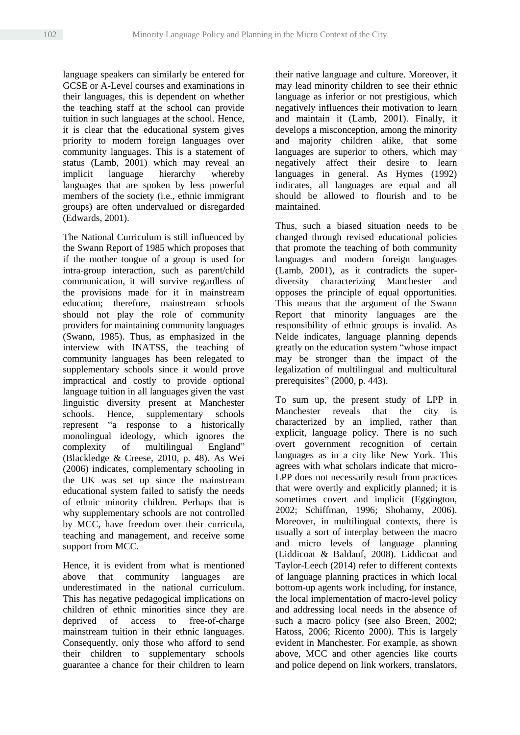language speakers can similarly be entered for GCSE or A-Level courses and examinations in their languages, this is dependent on whether the teaching staff at the school can provide tuition in such languages at the school. Hence, it is clear that the educational system gives priority to modern foreign languages over community languages. This is a statement of status (Lamb, 2001) which may reveal an implicit language hierarchy whereby languages that are spoken by less powerful members of the society (i.e., ethnic immigrant groups) are often undervalued or disregarded (Edwards, 2001).

The National Curriculum is still influenced by the Swann Report of 1985 which proposes that if the mother tongue of a group is used for intra-group interaction, such as parent/child communication, it will survive regardless of the provisions made for it in mainstream education; therefore, mainstream schools should not play the role of community providers for maintaining community languages (Swann, 1985). Thus, as emphasized in the interview with INATSS, the teaching of community languages has been relegated to supplementary schools since it would prove impractical and costly to provide optional language tuition in all languages given the vast linguistic diversity present at Manchester schools. Hence, supplementary schools represent "a response to a historically monolingual ideology, which ignores the complexity of multilingual England" (Blackledge & Creese, 2010, p. 48). As Wei (2006) indicates, complementary schooling in the UK was set up since the mainstream educational system failed to satisfy the needs of ethnic minority children. Perhaps that is why supplementary schools are not controlled by MCC, have freedom over their curricula, teaching and management, and receive some support from MCC.

Hence, it is evident from what is mentioned above that community languages are underestimated in the national curriculum. This has negative pedagogical implications on children of ethnic minorities since they are deprived of access to free-of-charge mainstream tuition in their ethnic languages. Consequently, only those who afford to send their children to supplementary schools guarantee a chance for their children to learn

their native language and culture. Moreover, it may lead minority children to see their ethnic language as inferior or not prestigious, which negatively influences their motivation to learn and maintain it (Lamb, 2001). Finally, it develops a misconception, among the minority and majority children alike, that some languages are superior to others, which may negatively affect their desire to learn languages in general. As Hymes (1992) indicates, all languages are equal and all should be allowed to flourish and to be maintained.

Thus, such a biased situation needs to be changed through revised educational policies that promote the teaching of both community languages and modern foreign languages (Lamb, 2001), as it contradicts the superdiversity characterizing Manchester and opposes the principle of equal opportunities. This means that the argument of the Swann Report that minority languages are the responsibility of ethnic groups is invalid. As Nelde indicates, language planning depends greatly on the education system "whose impact may be stronger than the impact of the legalization of multilingual and multicultural prerequisites" (2000, p. 443).

To sum up, the present study of LPP in Manchester reveals that the city is characterized by an implied, rather than explicit, language policy. There is no such overt government recognition of certain languages as in a city like New York. This agrees with what scholars indicate that micro-LPP does not necessarily result from practices that were overtly and explicitly planned; it is sometimes covert and implicit (Eggington, 2002; Schiffman, 1996; Shohamy, 2006). Moreover, in multilingual contexts, there is usually a sort of interplay between the macro and micro levels of language planning (Liddicoat & Baldauf, 2008). Liddicoat and Taylor-Leech (2014) refer to different contexts of language planning practices in which local bottom-up agents work including, for instance, the local implementation of macro-level policy and addressing local needs in the absence of such a macro policy (see also Breen, 2002; Hatoss, 2006; Ricento 2000). This is largely evident in Manchester. For example, as shown above, MCC and other agencies like courts and police depend on link workers, translators,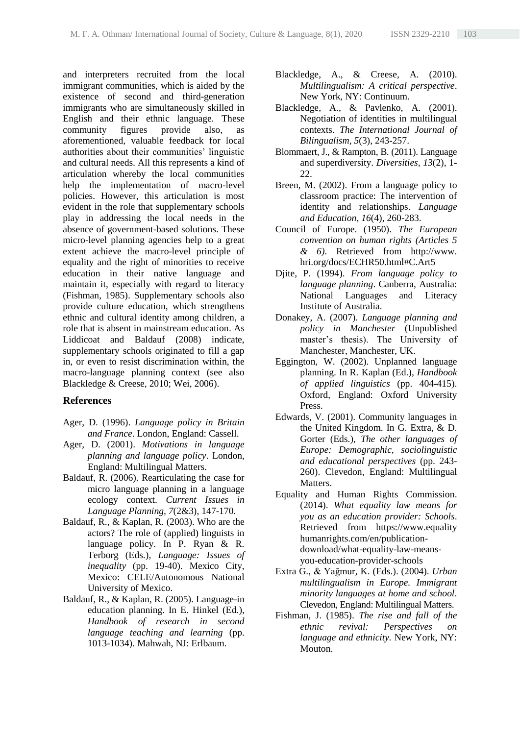and interpreters recruited from the local immigrant communities, which is aided by the existence of second and third-generation immigrants who are simultaneously skilled in English and their ethnic language. These community figures provide also, as aforementioned, valuable feedback for local authorities about their communities' linguistic and cultural needs. All this represents a kind of articulation whereby the local communities help the implementation of macro-level policies. However, this articulation is most evident in the role that supplementary schools play in addressing the local needs in the absence of government-based solutions. These micro-level planning agencies help to a great extent achieve the macro-level principle of equality and the right of minorities to receive education in their native language and maintain it, especially with regard to literacy (Fishman, 1985). Supplementary schools also provide culture education, which strengthens ethnic and cultural identity among children, a role that is absent in mainstream education. As Liddicoat and Baldauf (2008) indicate, supplementary schools originated to fill a gap in, or even to resist discrimination within, the macro-language planning context (see also Blackledge & Creese, 2010; Wei, 2006).

## **References**

- Ager, D. (1996). *Language policy in Britain and France*. London, England: Cassell.
- Ager, D. (2001). *Motivations in language planning and language policy*. London, England: Multilingual Matters.
- Baldauf, R. (2006). Rearticulating the case for micro language planning in a language ecology context. *Current Issues in Language Planning, 7*(2&3), 147-170.
- Baldauf, R., & Kaplan, R. (2003). Who are the actors? The role of (applied) linguists in language policy. In P. Ryan & R. Terborg (Eds.), *Language: Issues of inequality* (pp. 19-40). Mexico City, Mexico: CELE/Autonomous National University of Mexico.
- Baldauf, R., & Kaplan, R. (2005). Language-in education planning. In E. Hinkel (Ed.), *Handbook of research in second language teaching and learning* (pp. 1013-1034). Mahwah, NJ: Erlbaum.
- Blackledge, A., & Creese, A. (2010). *Multilingualism: A critical perspective*. New York, NY: Continuum.
- Blackledge, A., & Pavlenko, A. (2001). Negotiation of identities in multilingual contexts. *The International Journal of Bilingualism, 5*(3), 243-257.
- Blommaert, J., & Rampton, B. (2011). Language and superdiversity. *Diversities, 13*(2), 1-  $22.$
- Breen, M. (2002). From a language policy to classroom practice: The intervention of identity and relationships. *Language and Education, 16*(4), 260-283.
- Council of Europe. (1950). *The European convention on human rights (Articles 5 & 6)*. Retrieved from http://www. hri.org/docs/ECHR50.html#C.Art5
- Djite, P. (1994). *From language policy to language planning*. Canberra, Australia: National Languages and Literacy Institute of Australia.
- Donakey, A. (2007). *Language planning and policy in Manchester* (Unpublished master's thesis). The University of Manchester, Manchester, UK.
- Eggington, W. (2002). Unplanned language planning. In R. Kaplan (Ed.), *Handbook of applied linguistics* (pp. 404-415). Oxford, England: Oxford University Press.
- Edwards, V. (2001). Community languages in the United Kingdom. In G. Extra, & D. Gorter (Eds.), *The other languages of Europe: Demographic, sociolinguistic and educational perspectives* (pp. 243- 260). Clevedon, England: Multilingual Matters.
- Equality and Human Rights Commission. (2014). *What equality law means for you as an education provider: Schools*. Retrieved from https://www.equality humanrights.com/en/publicationdownload/what-equality-law-meansyou-education-provider-schools
- Extra G., & Yağmur, K. (Eds.). (2004). *Urban multilingualism in Europe. Immigrant minority languages at home and school*. Clevedon, England: Multilingual Matters.
- Fishman, J. (1985). *The rise and fall of the ethnic revival: Perspectives on language and ethnicity.* New York, NY: Mouton.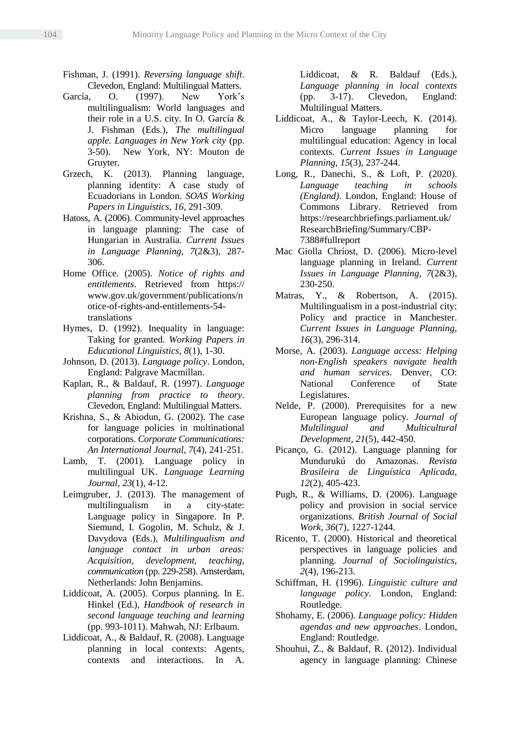- Fishman, J. (1991). *Reversing language shift*. Clevedon, England: Multilingual Matters.
- García, O. (1997). New York's multilingualism: World languages and their role in a U.S. city. In O. García & J. Fishman (Eds.), *The multilingual apple. Languages in New York city* (pp. 3-50). New York, NY: Mouton de Gruyter.
- Grzech, K. (2013). Planning language, planning identity: A case study of Ecuadorians in London. *SOAS Working Papers in Linguistics, 16*, 291-309.
- Hatoss, A. (2006). Community-level approaches in language planning: The case of Hungarian in Australia. *Current Issues in Language Planning, 7*(2&3), 287- 306.
- Home Office. (2005). *Notice of rights and entitlements*. Retrieved from https:// www.gov.uk/government/publications/n otice-of-rights-and-entitlements-54 translations
- Hymes, D. (1992). Inequality in language: Taking for granted. *Working Papers in Educational Linguistics, 8*(1), 1-30.
- Johnson, D. (2013). *Language policy*. London, England: Palgrave Macmillan.
- Kaplan, R., & Baldauf, R. (1997). *Language planning from practice to theory*. Clevedon, England: Multilingual Matters.
- Krishna, S., & Abiodun, G. (2002). The case for language policies in multinational corporations. *Corporate Communications: An International Journal, 7*(4), 241-251.
- Lamb, T. (2001). Language policy in multilingual UK. *Language Learning Journal, 23*(1), 4-12.
- Leimgruber, J. (2013). The management of multilingualism in a city-state: Language policy in Singapore. In P. Siemund, I. Gogolin, M. Schulz, & J. Davydova (Eds.), *Multilingualism and language contact in urban areas: Acquisition, development, teaching, communication* (pp. 229-258). Amsterdam, Netherlands: John Benjamins.
- Liddicoat, A. (2005). Corpus planning. In E. Hinkel (Ed.), *Handbook of research in second language teaching and learning* (pp. 993-1011). Mahwah, NJ: Erlbaum.
- Liddicoat, A., & Baldauf, R. (2008). Language planning in local contexts: Agents, contexts and interactions. In A.

Liddicoat, & R. Baldauf (Eds.), *Language planning in local contexts*  (pp. 3-17). Clevedon, England: Multilingual Matters.

- Liddicoat, A., & Taylor-Leech, K. (2014). Micro language planning for multilingual education: Agency in local contexts. *Current Issues in Language Planning, 15*(3), 237-244.
- Long, R., Danechi, S., & Loft, P. (2020). *[Language teaching in schools](http://researchbriefings.files.parliament.uk/documents/CBP-7388/CBP-7388.pdf)  [\(England\)](http://researchbriefings.files.parliament.uk/documents/CBP-7388/CBP-7388.pdf)*. London, England: House of Commons Library. Retrieved from https://researchbriefings.parliament.uk/ ResearchBriefing/Summary/CBP-7388#fullreport
- Mac Giolla Chríost, D. (2006). Micro-level language planning in Ireland. *Current Issues in Language Planning, 7*(2&3), 230-250.
- Matras, Y., & Robertson, A. (2015). Multilingualism in a post-industrial city: Policy and practice in Manchester. *Current Issues in Language Planning, 16*(3), 296-314.
- Morse, A. (2003). *Language access: Helping non-English speakers navigate health and human services.* Denver, CO: National Conference of State Legislatures.
- Nelde, P. (2000). Prerequisites for a new European language policy. *Journal of Multilingual and Multicultural Development, 21*(5), 442-450.
- Picanço, G. (2012). Language planning for Mundurukú do Amazonas. *Revista Brasileira de Linguística Aplicada, 12*(2), 405-423.
- Pugh, R., & Williams, D. (2006). Language policy and provision in social service organizations. *British Journal of Social Work, 36*(7), 1227-1244.
- Ricento, T. (2000). Historical and theoretical perspectives in language policies and planning. *Journal of Sociolinguistics, 2*(4), 196-213.
- Schiffman, H. (1996). *Linguistic culture and language policy*. London, England: Routledge.
- Shohamy, E. (2006). *Language policy: Hidden agendas and new approaches*. London, England: Routledge.
- Shouhui, Z., & Baldauf, R. (2012). Individual agency in language planning: Chinese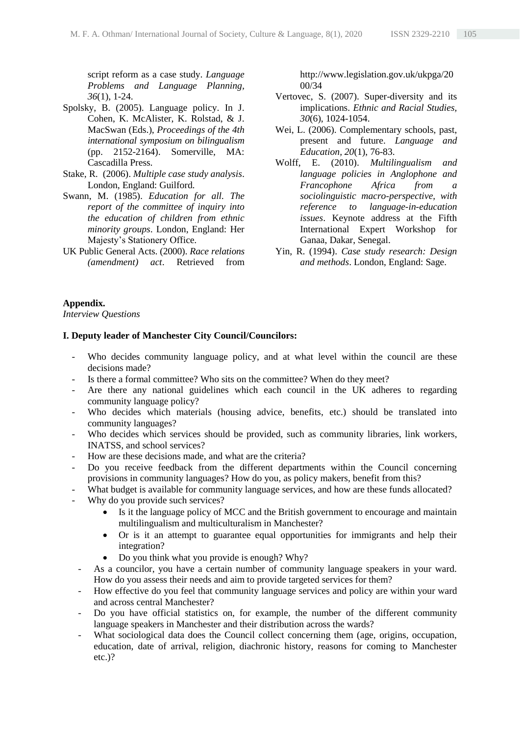script reform as a case study. *Language Problems and Language Planning, 36*[\(1\)](http://www.jbe-platform.com/content/journals/15699889/36/1), 1-24.

- Spolsky, B. (2005). Language policy. In J. Cohen, K. McAlister, K. Rolstad, & J. MacSwan (Eds.), *Proceedings of the 4th international symposium on bilingualism* (pp. 2152-2164). Somerville, MA: Cascadilla Press.
- Stake, R. (2006). *Multiple case study analysis*. London, England: Guilford.
- Swann, M. (1985). *Education for all. The report of the committee of inquiry into the education of children from ethnic minority groups*. London, England: Her Majesty's Stationery Office.
- UK Public General Acts. (2000). *Race relations (amendment) act*. Retrieved from

http://www.legislation.gov.uk/ukpga/20 00/34

- Vertovec, S. (2007). Super-diversity and its implications. *Ethnic and Racial Studies, 30*(6), 1024-1054.
- Wei, L. (2006). Complementary schools, past, present and future. *Language and Education, 20*(1), 76-83.
- Wolff, E. (2010). *Multilingualism and language policies in Anglophone and Francophone Africa from a sociolinguistic macro-perspective, with reference to language-in-education issues*. Keynote address at the Fifth International Expert Workshop for Ganaa, Dakar, Senegal.
- Yin, R. (1994). *Case study research: Design and methods*. London, England: Sage.

#### **Appendix.**

*Interview Questions*

#### **I. Deputy leader of Manchester City Council/Councilors:**

- Who decides community language policy, and at what level within the council are these decisions made?
- Is there a formal committee? Who sits on the committee? When do they meet?
- Are there any national guidelines which each council in the UK adheres to regarding community language policy?
- Who decides which materials (housing advice, benefits, etc.) should be translated into community languages?
- Who decides which services should be provided, such as community libraries, link workers, INATSS, and school services?
- How are these decisions made, and what are the criteria?
- Do you receive feedback from the different departments within the Council concerning provisions in community languages? How do you, as policy makers, benefit from this?
- What budget is available for community language services, and how are these funds allocated?
- Why do you provide such services?
	- Is it the language policy of MCC and the British government to encourage and maintain multilingualism and multiculturalism in Manchester?
	- Or is it an attempt to guarantee equal opportunities for immigrants and help their integration?
	- Do you think what you provide is enough? Why?
- As a councilor, you have a certain number of community language speakers in your ward. How do you assess their needs and aim to provide targeted services for them?
- How effective do you feel that community language services and policy are within your ward and across central Manchester?
- Do you have official statistics on, for example, the number of the different community language speakers in Manchester and their distribution across the wards?
- What sociological data does the Council collect concerning them (age, origins, occupation, education, date of arrival, religion, diachronic history, reasons for coming to Manchester etc.)?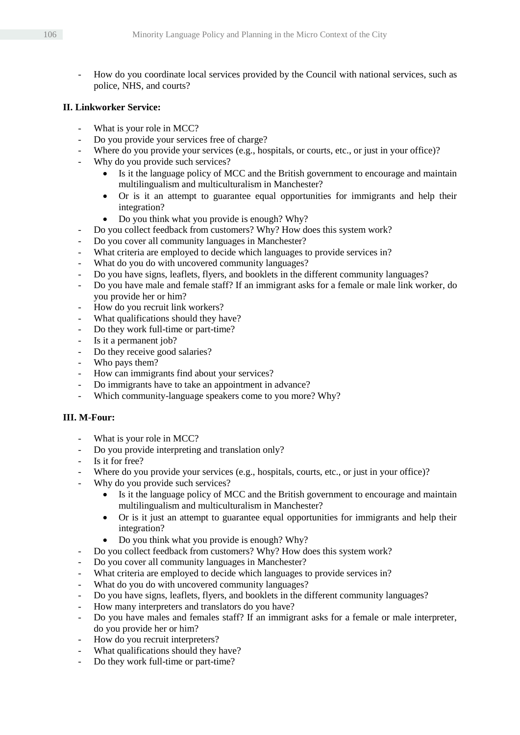- How do you coordinate local services provided by the Council with national services, such as police, NHS, and courts?

## **II. Linkworker Service:**

- What is your role in MCC?
- Do you provide your services free of charge?
- Where do you provide your services (e.g., hospitals, or courts, etc., or just in your office)?
- Why do you provide such services?
	- Is it the language policy of MCC and the British government to encourage and maintain multilingualism and multiculturalism in Manchester?
	- Or is it an attempt to guarantee equal opportunities for immigrants and help their integration?
	- Do you think what you provide is enough? Why?
- Do you collect feedback from customers? Why? How does this system work?
- Do you cover all community languages in Manchester?
- What criteria are employed to decide which languages to provide services in?
- What do you do with uncovered community languages?
- Do you have signs, leaflets, flyers, and booklets in the different community languages?
- Do you have male and female staff? If an immigrant asks for a female or male link worker, do you provide her or him?
- How do you recruit link workers?
- What qualifications should they have?
- Do they work full-time or part-time?
- Is it a permanent job?
- Do they receive good salaries?
- Who pays them?
- How can immigrants find about your services?
- Do immigrants have to take an appointment in advance?
- Which community-language speakers come to you more? Why?

## **III. M-Four:**

- What is your role in MCC?
- Do you provide interpreting and translation only?
- Is it for free?
- Where do you provide your services (e.g., hospitals, courts, etc., or just in your office)?
- Why do you provide such services?
	- Is it the language policy of MCC and the British government to encourage and maintain multilingualism and multiculturalism in Manchester?
	- Or is it just an attempt to guarantee equal opportunities for immigrants and help their integration?
	- Do you think what you provide is enough? Why?
- Do you collect feedback from customers? Why? How does this system work?
- Do you cover all community languages in Manchester?
- What criteria are employed to decide which languages to provide services in?
- What do you do with uncovered community languages?
- Do you have signs, leaflets, flyers, and booklets in the different community languages?
- How many interpreters and translators do you have?
- Do you have males and females staff? If an immigrant asks for a female or male interpreter, do you provide her or him?
- How do you recruit interpreters?
- What qualifications should they have?
- Do they work full-time or part-time?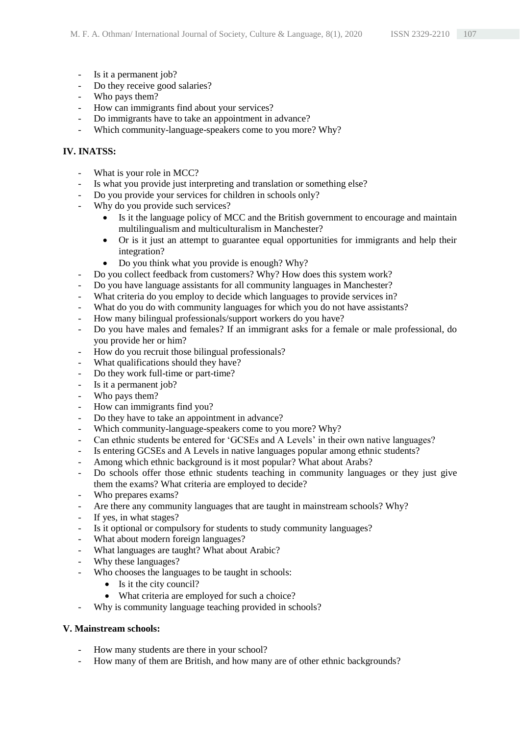- Is it a permanent job?
- Do they receive good salaries?
- Who pays them?
- How can immigrants find about your services?
- Do immigrants have to take an appointment in advance?
- Which community-language-speakers come to you more? Why?

## **IV. INATSS:**

- What is your role in MCC?
- Is what you provide just interpreting and translation or something else?
- Do you provide your services for children in schools only?
- Why do you provide such services?
	- Is it the language policy of MCC and the British government to encourage and maintain multilingualism and multiculturalism in Manchester?
	- Or is it just an attempt to guarantee equal opportunities for immigrants and help their integration?
	- Do you think what you provide is enough? Why?
- Do you collect feedback from customers? Why? How does this system work?
- Do you have language assistants for all community languages in Manchester?
- What criteria do you employ to decide which languages to provide services in?
- What do you do with community languages for which you do not have assistants?
- How many bilingual professionals/support workers do you have?
- Do you have males and females? If an immigrant asks for a female or male professional, do you provide her or him?
- How do you recruit those bilingual professionals?
- What qualifications should they have?
- Do they work full-time or part-time?
- Is it a permanent job?
- Who pays them?
- How can immigrants find you?
- Do they have to take an appointment in advance?
- Which community-language-speakers come to you more? Why?
- Can ethnic students be entered for 'GCSEs and A Levels' in their own native languages?
- Is entering GCSEs and A Levels in native languages popular among ethnic students?
- Among which ethnic background is it most popular? What about Arabs?
- Do schools offer those ethnic students teaching in community languages or they just give them the exams? What criteria are employed to decide?
- Who prepares exams?
- Are there any community languages that are taught in mainstream schools? Why?
- If yes, in what stages?
- Is it optional or compulsory for students to study community languages?
- What about modern foreign languages?
- What languages are taught? What about Arabic?
- Why these languages?
- Who chooses the languages to be taught in schools:
	- Is it the city council?
	- What criteria are employed for such a choice?
- Why is community language teaching provided in schools?

## **V. Mainstream schools:**

- How many students are there in your school?
- How many of them are British, and how many are of other ethnic backgrounds?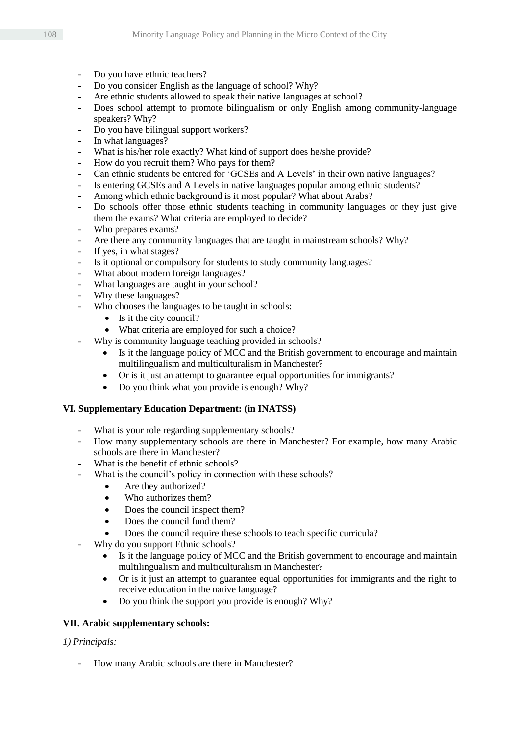- Do you have ethnic teachers?
- Do you consider English as the language of school? Why?
- Are ethnic students allowed to speak their native languages at school?
- Does school attempt to promote bilingualism or only English among community-language speakers? Why?
- Do you have bilingual support workers?
- In what languages?
- What is his/her role exactly? What kind of support does he/she provide?
- How do you recruit them? Who pays for them?
- Can ethnic students be entered for 'GCSEs and A Levels' in their own native languages?
- Is entering GCSEs and A Levels in native languages popular among ethnic students?
- Among which ethnic background is it most popular? What about Arabs?
- Do schools offer those ethnic students teaching in community languages or they just give them the exams? What criteria are employed to decide?
- Who prepares exams?
- Are there any community languages that are taught in mainstream schools? Why?
- If yes, in what stages?
- Is it optional or compulsory for students to study community languages?
- What about modern foreign languages?
- What languages are taught in your school?
- Why these languages?
- Who chooses the languages to be taught in schools:
	- $\bullet$  Is it the city council?
	- What criteria are employed for such a choice?
- Why is community language teaching provided in schools?
	- Is it the language policy of MCC and the British government to encourage and maintain multilingualism and multiculturalism in Manchester?
	- Or is it just an attempt to guarantee equal opportunities for immigrants?
	- Do you think what you provide is enough? Why?

## **VI. Supplementary Education Department: (in INATSS)**

- What is your role regarding supplementary schools?
- How many supplementary schools are there in Manchester? For example, how many Arabic schools are there in Manchester?
- What is the benefit of ethnic schools?
- What is the council's policy in connection with these schools?
	- Are they authorized?
	- Who authorizes them?
	- Does the council inspect them?
	- Does the council fund them?
	- Does the council require these schools to teach specific curricula?
- Why do you support Ethnic schools?
	- Is it the language policy of MCC and the British government to encourage and maintain multilingualism and multiculturalism in Manchester?
	- Or is it just an attempt to guarantee equal opportunities for immigrants and the right to receive education in the native language?
	- Do you think the support you provide is enough? Why?

## **VII. Arabic supplementary schools:**

*1) Principals:*

How many Arabic schools are there in Manchester?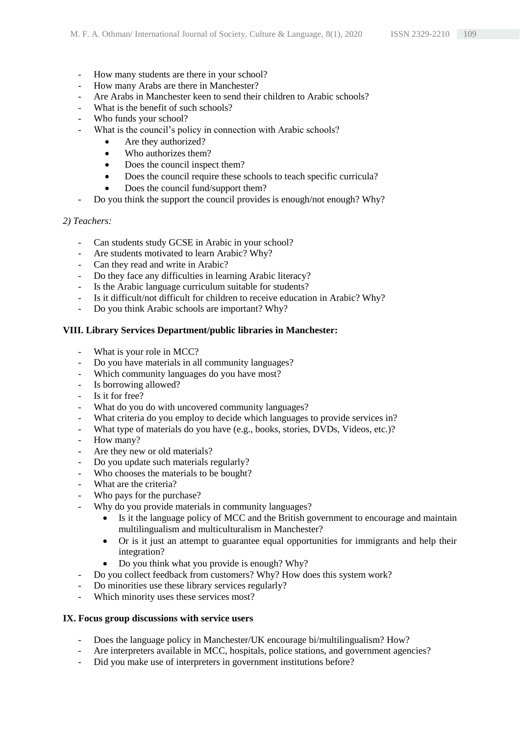- How many students are there in your school?
- How many Arabs are there in Manchester?
- Are Arabs in Manchester keen to send their children to Arabic schools?
- What is the benefit of such schools?
- Who funds your school?
- What is the council's policy in connection with Arabic schools?
	- Are they authorized?
	- Who authorizes them?
	- Does the council inspect them?
	- Does the council require these schools to teach specific curricula?
	- Does the council fund/support them?
- Do you think the support the council provides is enough/not enough? Why?

## *2) Teachers:*

- Can students study GCSE in Arabic in your school?
- Are students motivated to learn Arabic? Why?
- Can they read and write in Arabic?
- Do they face any difficulties in learning Arabic literacy?
- Is the Arabic language curriculum suitable for students?
- Is it difficult/not difficult for children to receive education in Arabic? Why?
- Do you think Arabic schools are important? Why?

## **VIII. Library Services Department/public libraries in Manchester:**

- What is your role in MCC?
- Do you have materials in all community languages?
- Which community languages do you have most?
- Is borrowing allowed?
- Is it for free?
- What do you do with uncovered community languages?
- What criteria do you employ to decide which languages to provide services in?
- What type of materials do you have (e.g., books, stories, DVDs, Videos, etc.)?
- How many?
- Are they new or old materials?
- Do you update such materials regularly?
- Who chooses the materials to be bought?
- What are the criteria?
- Who pays for the purchase?
- Why do you provide materials in community languages?
	- Is it the language policy of MCC and the British government to encourage and maintain multilingualism and multiculturalism in Manchester?
	- Or is it just an attempt to guarantee equal opportunities for immigrants and help their integration?
	- Do you think what you provide is enough? Why?
- Do you collect feedback from customers? Why? How does this system work?
- Do minorities use these library services regularly?
- Which minority uses these services most?

## **IX. Focus group discussions with service users**

- Does the language policy in Manchester/UK encourage bi/multilingualism? How?
- Are interpreters available in MCC, hospitals, police stations, and government agencies?
- Did you make use of interpreters in government institutions before?